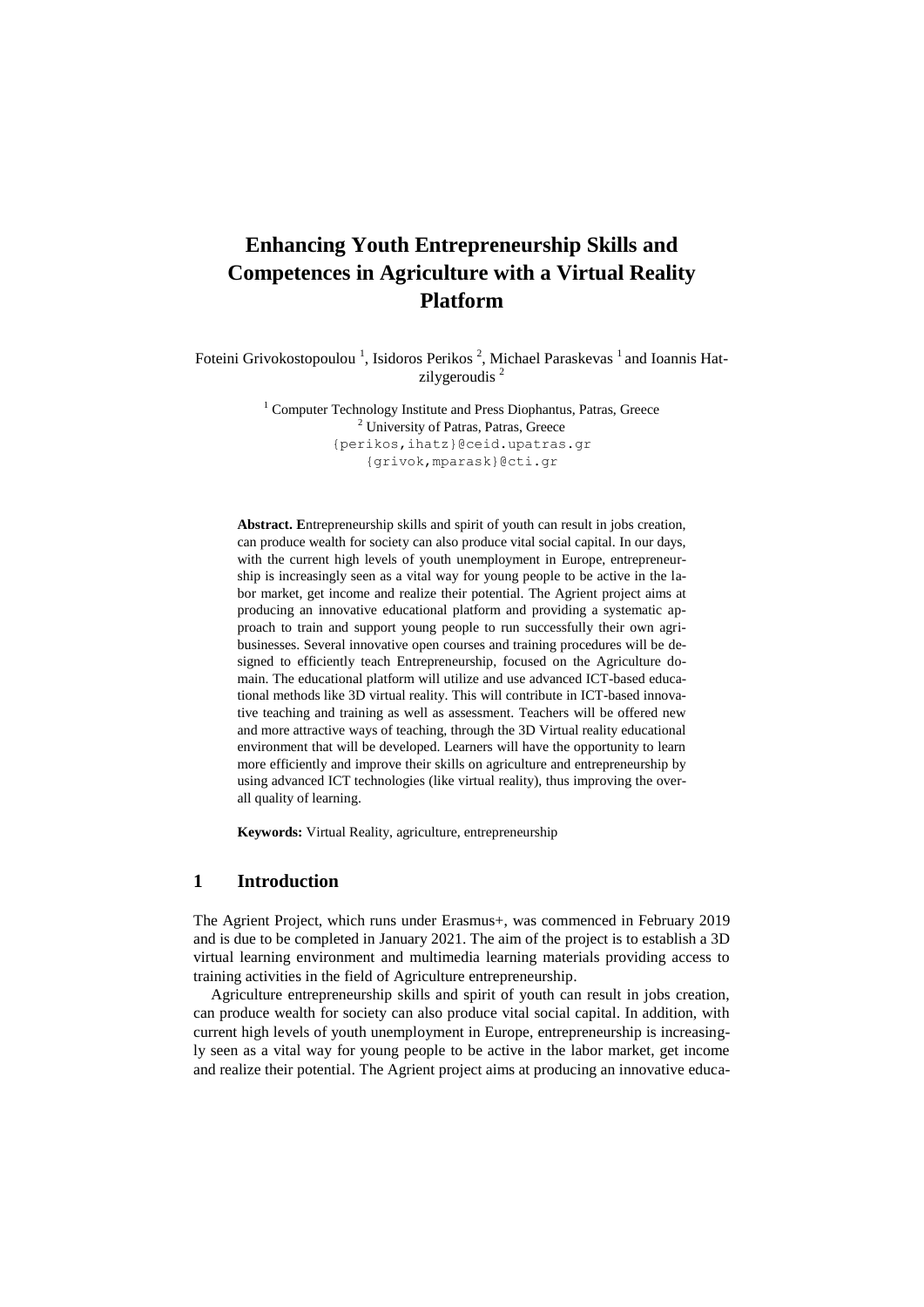# **Enhancing Youth Entrepreneurship Skills and Competences in Agriculture with a Virtual Reality Platform**

Foteini Grivokostopoulou<sup>1</sup>, Isidoros Perikos<sup>2</sup>, Michael Paraskevas<sup>1</sup> and Ioannis Hatzilygeroudis<sup>2</sup>

> $1$  Computer Technology Institute and Press Diophantus, Patras, Greece <sup>2</sup> University of Patras, Patras, Greece {perikos,ihatz}@ceid.upatras.gr {grivok,mparask}@cti.gr

**Abstract. E**ntrepreneurship skills and spirit of youth can result in jobs creation, can produce wealth for society can also produce vital social capital. In our days, with the current high levels of youth unemployment in Europe, entrepreneurship is increasingly seen as a vital way for young people to be active in the labor market, get income and realize their potential. The Agrient project aims at producing an innovative educational platform and providing a systematic approach to train and support young people to run successfully their own agribusinesses. Several innovative open courses and training procedures will be designed to efficiently teach Entrepreneurship, focused on the Agriculture domain. The educational platform will utilize and use advanced ICT-based educational methods like 3D virtual reality. This will contribute in ICT-based innovative teaching and training as well as assessment. Teachers will be offered new and more attractive ways of teaching, through the 3D Virtual reality educational environment that will be developed. Learners will have the opportunity to learn more efficiently and improve their skills on agriculture and entrepreneurship by using advanced ICT technologies (like virtual reality), thus improving the overall quality of learning.

**Keywords:** Virtual Reality, agriculture, entrepreneurship

## **1 Introduction**

The Agrient Project, which runs under Erasmus+, was commenced in February 2019 and is due to be completed in January 2021. The aim of the project is to establish a 3D virtual learning environment and multimedia learning materials providing access to training activities in the field of Agriculture entrepreneurship.

Agriculture entrepreneurship skills and spirit of youth can result in jobs creation, can produce wealth for society can also produce vital social capital. In addition, with current high levels of youth unemployment in Europe, entrepreneurship is increasingly seen as a vital way for young people to be active in the labor market, get income and realize their potential. The Agrient project aims at producing an innovative educa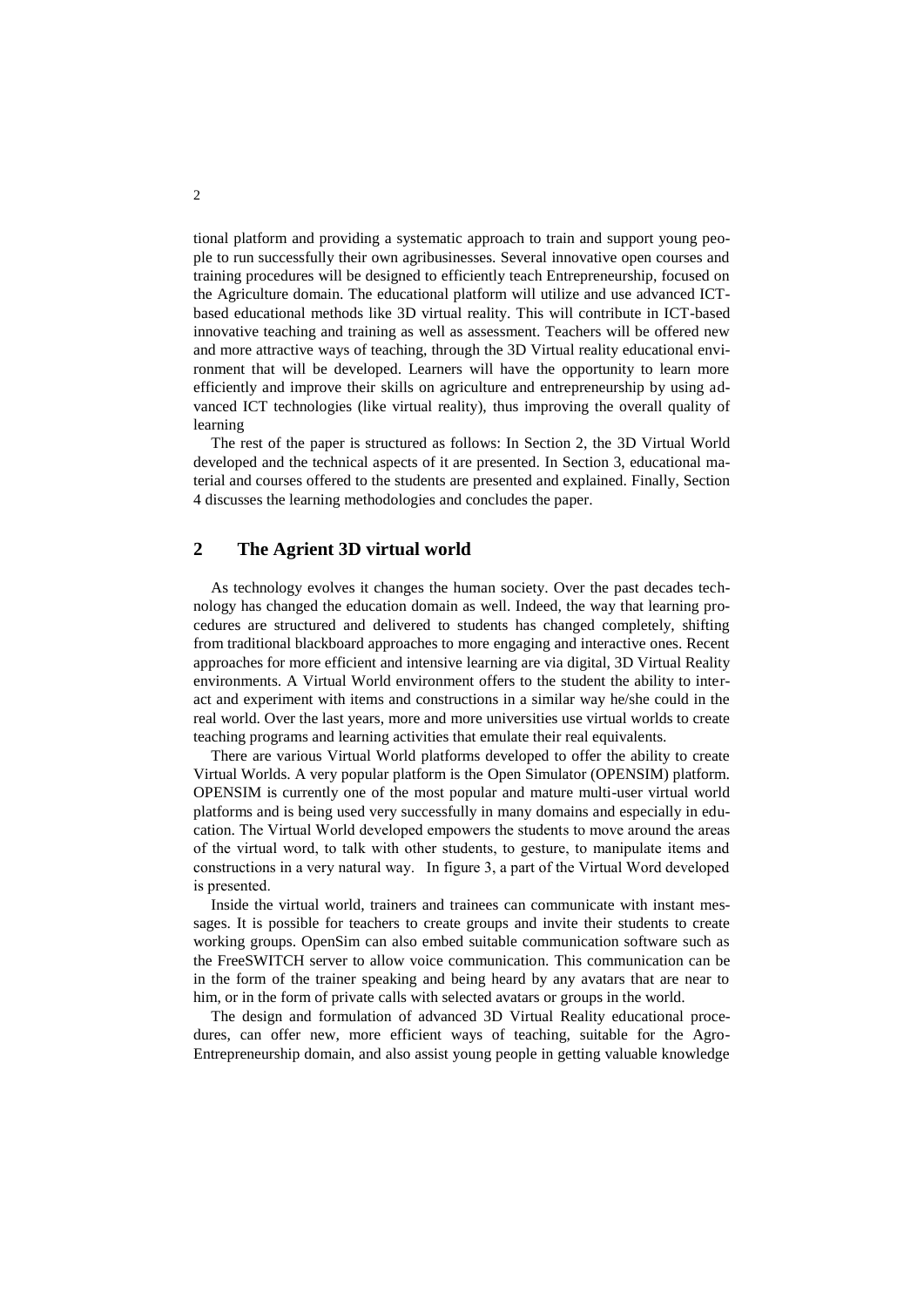tional platform and providing a systematic approach to train and support young people to run successfully their own agribusinesses. Several innovative open courses and training procedures will be designed to efficiently teach Entrepreneurship, focused on the Agriculture domain. The educational platform will utilize and use advanced ICTbased educational methods like 3D virtual reality. This will contribute in ICT-based innovative teaching and training as well as assessment. Teachers will be offered new and more attractive ways of teaching, through the 3D Virtual reality educational environment that will be developed. Learners will have the opportunity to learn more efficiently and improve their skills on agriculture and entrepreneurship by using advanced ICT technologies (like virtual reality), thus improving the overall quality of learning

The rest of the paper is structured as follows: In Section 2, the 3D Virtual World developed and the technical aspects of it are presented. In Section 3, educational material and courses offered to the students are presented and explained. Finally, Section 4 discusses the learning methodologies and concludes the paper.

#### **2 The Agrient 3D virtual world**

As technology evolves it changes the human society. Over the past decades technology has changed the education domain as well. Indeed, the way that learning procedures are structured and delivered to students has changed completely, shifting from traditional blackboard approaches to more engaging and interactive ones. Recent approaches for more efficient and intensive learning are via digital, 3D Virtual Reality environments. A Virtual World environment offers to the student the ability to interact and experiment with items and constructions in a similar way he/she could in the real world. Over the last years, more and more universities use virtual worlds to create teaching programs and learning activities that emulate their real equivalents.

There are various Virtual World platforms developed to offer the ability to create Virtual Worlds. A very popular platform is the Open Simulator (OPENSIM) platform. OPENSIM is currently one of the most popular and mature multi-user virtual world platforms and is being used very successfully in many domains and especially in education. The Virtual World developed empowers the students to move around the areas of the virtual word, to talk with other students, to gesture, to manipulate items and constructions in a very natural way. In figure 3, a part of the Virtual Word developed is presented.

Inside the virtual world, trainers and trainees can communicate with instant messages. It is possible for teachers to create groups and invite their students to create working groups. OpenSim can also embed suitable communication software such as the FreeSWITCH server to allow voice communication. This communication can be in the form of the trainer speaking and being heard by any avatars that are near to him, or in the form of private calls with selected avatars or groups in the world.

The design and formulation of advanced 3D Virtual Reality educational procedures, can offer new, more efficient ways of teaching, suitable for the Agro-Entrepreneurship domain, and also assist young people in getting valuable knowledge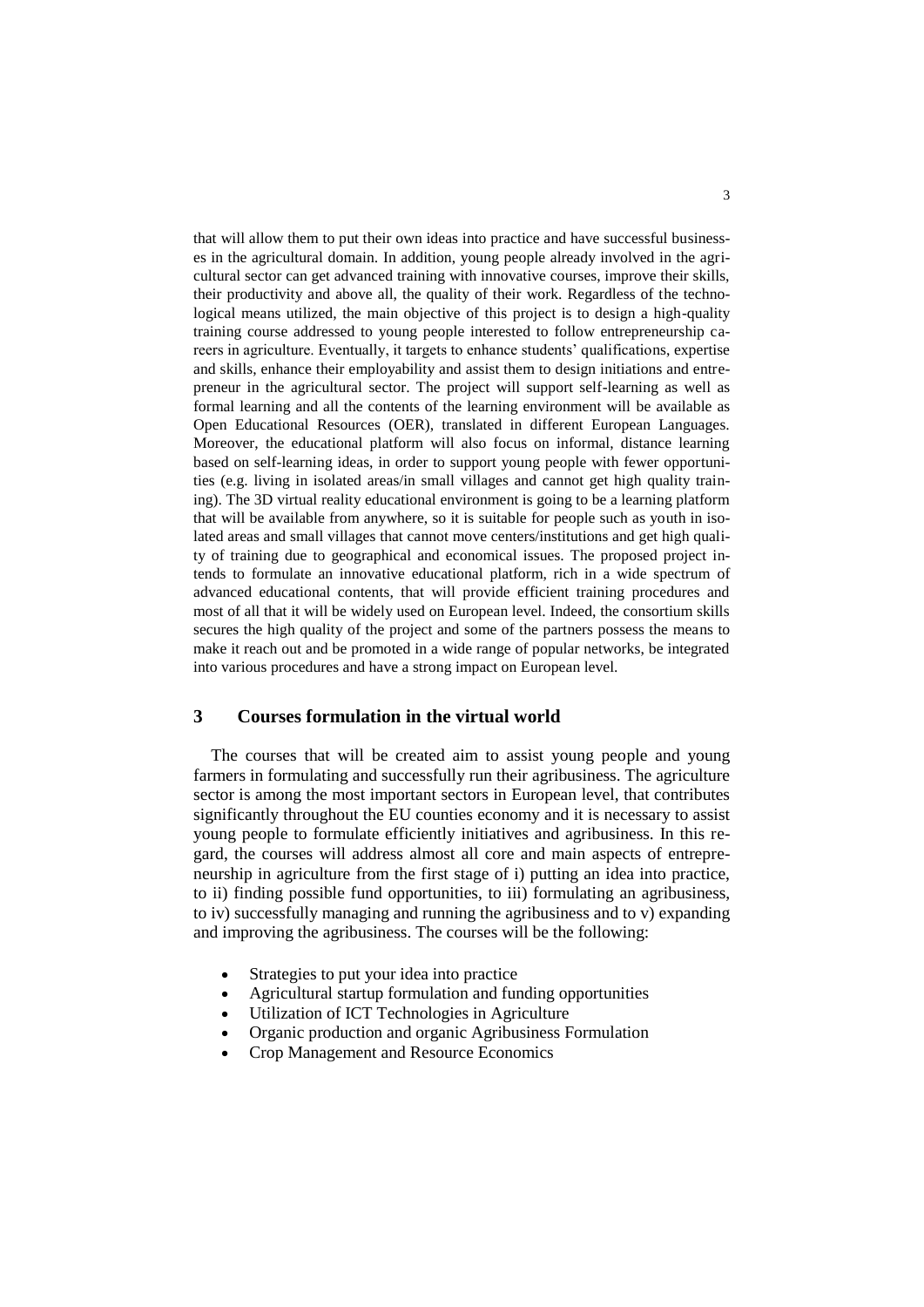that will allow them to put their own ideas into practice and have successful businesses in the agricultural domain. In addition, young people already involved in the agricultural sector can get advanced training with innovative courses, improve their skills, their productivity and above all, the quality of their work. Regardless of the technological means utilized, the main objective of this project is to design a high-quality training course addressed to young people interested to follow entrepreneurship careers in agriculture. Eventually, it targets to enhance students' qualifications, expertise and skills, enhance their employability and assist them to design initiations and entrepreneur in the agricultural sector. The project will support self-learning as well as formal learning and all the contents of the learning environment will be available as Open Educational Resources (OER), translated in different European Languages. Moreover, the educational platform will also focus on informal, distance learning based on self-learning ideas, in order to support young people with fewer opportunities (e.g. living in isolated areas/in small villages and cannot get high quality training). The 3D virtual reality educational environment is going to be a learning platform that will be available from anywhere, so it is suitable for people such as youth in isolated areas and small villages that cannot move centers/institutions and get high quality of training due to geographical and economical issues. The proposed project intends to formulate an innovative educational platform, rich in a wide spectrum of advanced educational contents, that will provide efficient training procedures and most of all that it will be widely used on European level. Indeed, the consortium skills secures the high quality of the project and some of the partners possess the means to make it reach out and be promoted in a wide range of popular networks, be integrated into various procedures and have a strong impact on European level.

## **3 Courses formulation in the virtual world**

The courses that will be created aim to assist young people and young farmers in formulating and successfully run their agribusiness. The agriculture sector is among the most important sectors in European level, that contributes significantly throughout the EU counties economy and it is necessary to assist young people to formulate efficiently initiatives and agribusiness. In this regard, the courses will address almost all core and main aspects of entrepreneurship in agriculture from the first stage of i) putting an idea into practice, to ii) finding possible fund opportunities, to iii) formulating an agribusiness, to iv) successfully managing and running the agribusiness and to v) expanding and improving the agribusiness. The courses will be the following:

- Strategies to put your idea into practice
- Agricultural startup formulation and funding opportunities
- Utilization of ICT Technologies in Agriculture
- Organic production and organic Agribusiness Formulation
- Crop Management and Resource Economics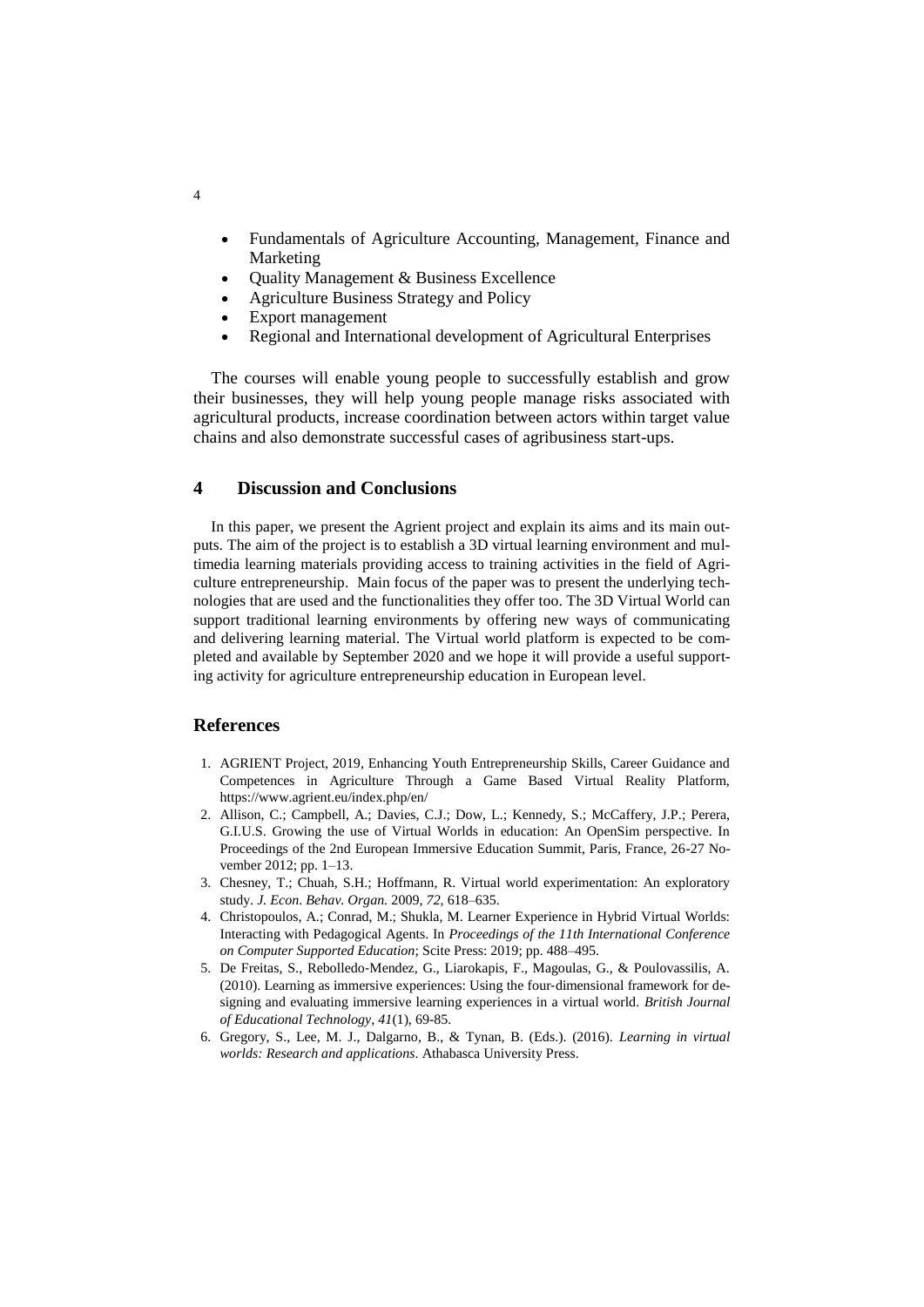- Fundamentals of Agriculture Accounting, Management, Finance and Marketing
- Quality Management & Business Excellence
- Agriculture Business Strategy and Policy
- Export management
- Regional and International development of Agricultural Enterprises

The courses will enable young people to successfully establish and grow their businesses, they will help young people manage risks associated with agricultural products, increase coordination between actors within target value chains and also demonstrate successful cases of agribusiness start-ups.

## **4 Discussion and Conclusions**

In this paper, we present the Agrient project and explain its aims and its main outputs. The aim of the project is to establish a 3D virtual learning environment and multimedia learning materials providing access to training activities in the field of Agriculture entrepreneurship. Main focus of the paper was to present the underlying technologies that are used and the functionalities they offer too. The 3D Virtual World can support traditional learning environments by offering new ways of communicating and delivering learning material. The Virtual world platform is expected to be completed and available by September 2020 and we hope it will provide a useful supporting activity for agriculture entrepreneurship education in European level.

#### **References**

- 1. AGRIENT Project, 2019, Enhancing Youth Entrepreneurship Skills, Career Guidance and Competences in Agriculture Through a Game Based Virtual Reality Platform, https://www.agrient.eu/index.php/en/
- 2. Allison, C.; Campbell, A.; Davies, C.J.; Dow, L.; Kennedy, S.; McCaffery, J.P.; Perera, G.I.U.S. Growing the use of Virtual Worlds in education: An OpenSim perspective. In Proceedings of the 2nd European Immersive Education Summit, Paris, France, 26-27 November 2012; pp. 1–13.
- 3. Chesney, T.; Chuah, S.H.; Hoffmann, R. Virtual world experimentation: An exploratory study. *J. Econ. Behav. Organ.* 2009, *72*, 618–635.
- 4. Christopoulos, A.; Conrad, M.; Shukla, M. Learner Experience in Hybrid Virtual Worlds: Interacting with Pedagogical Agents. In *Proceedings of the 11th International Conference on Computer Supported Education*; Scite Press: 2019; pp. 488–495.
- 5. De Freitas, S., Rebolledo‐Mendez, G., Liarokapis, F., Magoulas, G., & Poulovassilis, A.  $(2010)$ . Learning as immersive experiences: Using the four-dimensional framework for designing and evaluating immersive learning experiences in a virtual world. *British Journal of Educational Technology*, *41*(1), 69-85.
- 6. Gregory, S., Lee, M. J., Dalgarno, B., & Tynan, B. (Eds.). (2016). *Learning in virtual worlds: Research and applications*. Athabasca University Press.

4